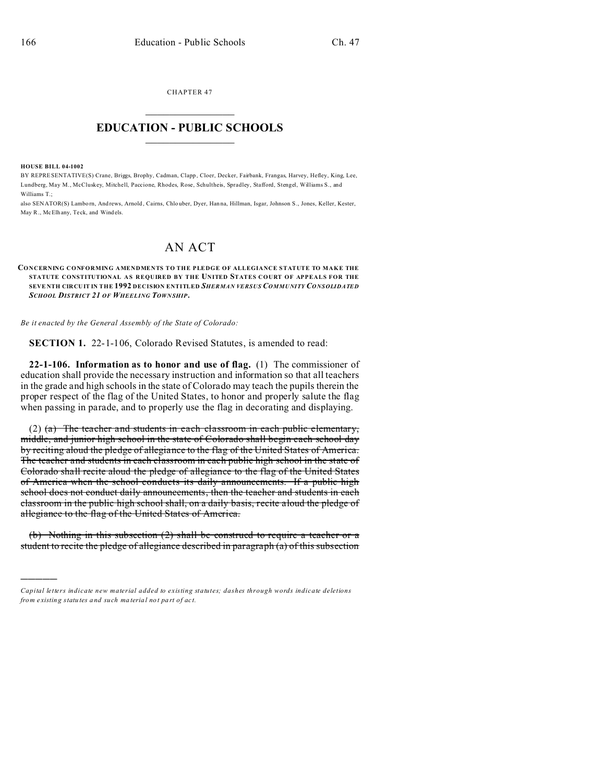CHAPTER 47  $\overline{\phantom{a}}$  , where  $\overline{\phantom{a}}$ 

## **EDUCATION - PUBLIC SCHOOLS**  $\_$   $\_$   $\_$   $\_$   $\_$   $\_$   $\_$   $\_$   $\_$

**HOUSE BILL 04-1002**

)))))

BY REPRESENTATIVE(S) Crane, Briggs, Brophy, Cadman, Clapp , Cloer, Decker, Fairbank, Frangas, Harvey, Hefley, King, Lee, Lundberg, May M., McCluskey, Mitchell, Paccione, Rhodes, Rose, Schultheis, Spradley, Stafford, Stengel, Williams S., and Williams T .

also SENATOR(S) Lamborn, Andrews, Arnold, Cairns, Chlouber, Dyer, Hanna, Hillman, Isgar, Johnson S., Jones, Keller, Kester, May R., McElhany, Teck, and Windels.

## AN ACT

## **CONCERNING CONFORMING AMENDMENTS TO THE PLEDGE OF ALLEGIANCE STATUTE TO MAKE THE STATUTE CONSTITUTIONAL AS REQUIRED BY THE UNITED STATES COURT OF APPEALS FOR THE SEVE NTH CIRCUIT IN THE 1992 DECISION ENTITLED** *SHERMAN VERSUS COMMUNITY CONSOLIDATED SCHOOL DISTRICT 21 OF WHEELING TOWN SHIP***.**

*Be it enacted by the General Assembly of the State of Colorado:*

**SECTION 1.** 22-1-106, Colorado Revised Statutes, is amended to read:

**22-1-106. Information as to honor and use of flag.** (1) The commissioner of education shall provide the necessary instruction and information so that all teachers in the grade and high schools in the state of Colorado may teach the pupils therein the proper respect of the flag of the United States, to honor and properly salute the flag when passing in parade, and to properly use the flag in decorating and displaying.

(2) (a) The teacher and students in each classroom in each public elementary, middle, and junior high school in the state of Colorado shall begin each school day by reciting aloud the pledge of allegiance to the flag of the United States of America. The teacher and students in each classroom in each public high school in the state of Colorado shall recite aloud the pledge of allegiance to the flag of the United States of America when the school conducts its daily announcements. If a public high school does not conduct daily announcements, then the teacher and students in each classroom in the public high school shall, on a daily basis, recite aloud the pledge of allegiance to the flag of the United States of America.

(b) Nothing in this subsection (2) shall be construed to require a teacher or a student to recite the pledge of allegiance described in paragraph (a) of this subsection

*Capital letters indicate new material added to existing statutes; dashes through words indicate deletions from e xistin g statu tes a nd such ma teria l no t pa rt of ac t.*